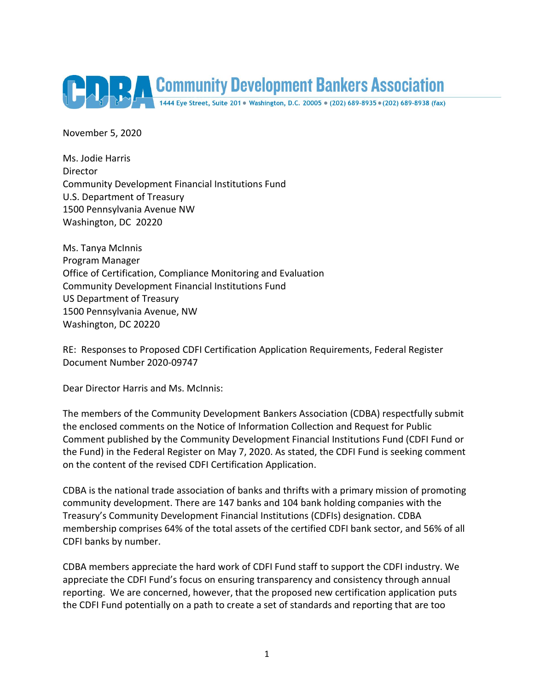

November 5, 2020

Ms. Jodie Harris Director Community Development Financial Institutions Fund U.S. Department of Treasury 1500 Pennsylvania Avenue NW Washington, DC 20220

Ms. Tanya McInnis Program Manager Office of Certification, Compliance Monitoring and Evaluation Community Development Financial Institutions Fund US Department of Treasury 1500 Pennsylvania Avenue, NW Washington, DC 20220

RE: Responses to Proposed CDFI Certification Application Requirements, Federal Register Document Number 2020-09747

Dear Director Harris and Ms. McInnis:

The members of the Community Development Bankers Association (CDBA) respectfully submit the enclosed comments on the Notice of Information Collection and Request for Public Comment published by the Community Development Financial Institutions Fund (CDFI Fund or the Fund) in the Federal Register on May 7, 2020. As stated, the CDFI Fund is seeking comment on the content of the revised CDFI Certification Application.

CDBA is the national trade association of banks and thrifts with a primary mission of promoting community development. There are 147 banks and 104 bank holding companies with the Treasury's Community Development Financial Institutions (CDFIs) designation. CDBA membership comprises 64% of the total assets of the certified CDFI bank sector, and 56% of all CDFI banks by number.

CDBA members appreciate the hard work of CDFI Fund staff to support the CDFI industry. We appreciate the CDFI Fund's focus on ensuring transparency and consistency through annual reporting. We are concerned, however, that the proposed new certification application puts the CDFI Fund potentially on a path to create a set of standards and reporting that are too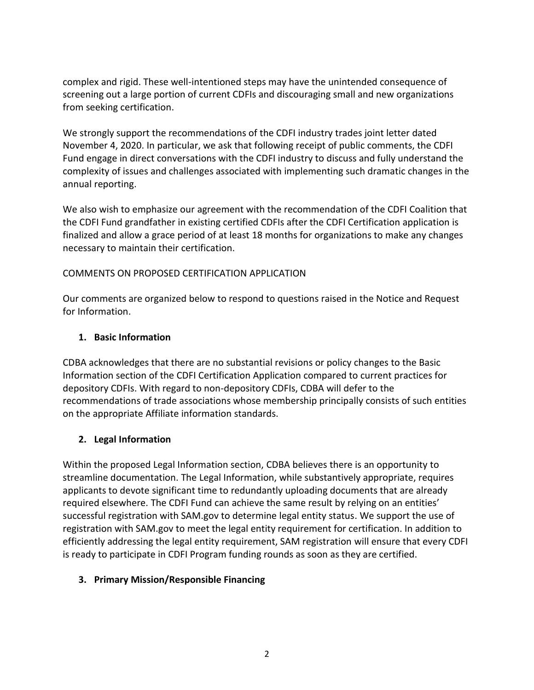complex and rigid. These well-intentioned steps may have the unintended consequence of screening out a large portion of current CDFIs and discouraging small and new organizations from seeking certification.

We strongly support the recommendations of the CDFI industry trades joint letter dated November 4, 2020. In particular, we ask that following receipt of public comments, the CDFI Fund engage in direct conversations with the CDFI industry to discuss and fully understand the complexity of issues and challenges associated with implementing such dramatic changes in the annual reporting.

We also wish to emphasize our agreement with the recommendation of the CDFI Coalition that the CDFI Fund grandfather in existing certified CDFIs after the CDFI Certification application is finalized and allow a grace period of at least 18 months for organizations to make any changes necessary to maintain their certification.

### COMMENTS ON PROPOSED CERTIFICATION APPLICATION

Our comments are organized below to respond to questions raised in the Notice and Request for Information.

# **1. Basic Information**

CDBA acknowledges that there are no substantial revisions or policy changes to the Basic Information section of the CDFI Certification Application compared to current practices for depository CDFIs. With regard to non-depository CDFIs, CDBA will defer to the recommendations of trade associations whose membership principally consists of such entities on the appropriate Affiliate information standards.

# **2. Legal Information**

Within the proposed Legal Information section, CDBA believes there is an opportunity to streamline documentation. The Legal Information, while substantively appropriate, requires applicants to devote significant time to redundantly uploading documents that are already required elsewhere. The CDFI Fund can achieve the same result by relying on an entities' successful registration with SAM.gov to determine legal entity status. We support the use of registration with SAM.gov to meet the legal entity requirement for certification. In addition to efficiently addressing the legal entity requirement, SAM registration will ensure that every CDFI is ready to participate in CDFI Program funding rounds as soon as they are certified.

### **3. Primary Mission/Responsible Financing**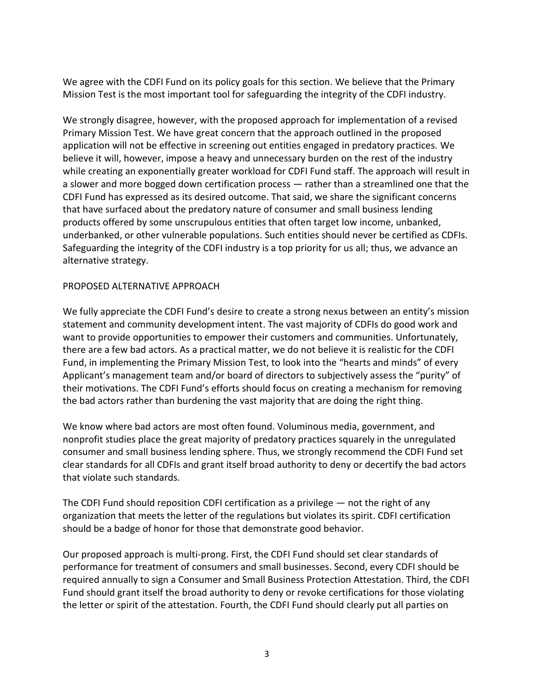We agree with the CDFI Fund on its policy goals for this section. We believe that the Primary Mission Test is the most important tool for safeguarding the integrity of the CDFI industry.

We strongly disagree, however, with the proposed approach for implementation of a revised Primary Mission Test. We have great concern that the approach outlined in the proposed application will not be effective in screening out entities engaged in predatory practices. We believe it will, however, impose a heavy and unnecessary burden on the rest of the industry while creating an exponentially greater workload for CDFI Fund staff. The approach will result in a slower and more bogged down certification process ― rather than a streamlined one that the CDFI Fund has expressed as its desired outcome. That said, we share the significant concerns that have surfaced about the predatory nature of consumer and small business lending products offered by some unscrupulous entities that often target low income, unbanked, underbanked, or other vulnerable populations. Such entities should never be certified as CDFIs. Safeguarding the integrity of the CDFI industry is a top priority for us all; thus, we advance an alternative strategy.

#### PROPOSED ALTERNATIVE APPROACH

We fully appreciate the CDFI Fund's desire to create a strong nexus between an entity's mission statement and community development intent. The vast majority of CDFIs do good work and want to provide opportunities to empower their customers and communities. Unfortunately, there are a few bad actors. As a practical matter, we do not believe it is realistic for the CDFI Fund, in implementing the Primary Mission Test, to look into the "hearts and minds" of every Applicant's management team and/or board of directors to subjectively assess the "purity" of their motivations. The CDFI Fund's efforts should focus on creating a mechanism for removing the bad actors rather than burdening the vast majority that are doing the right thing.

We know where bad actors are most often found. Voluminous media, government, and nonprofit studies place the great majority of predatory practices squarely in the unregulated consumer and small business lending sphere. Thus, we strongly recommend the CDFI Fund set clear standards for all CDFIs and grant itself broad authority to deny or decertify the bad actors that violate such standards.

The CDFI Fund should reposition CDFI certification as a privilege — not the right of any organization that meets the letter of the regulations but violates its spirit. CDFI certification should be a badge of honor for those that demonstrate good behavior.

Our proposed approach is multi-prong. First, the CDFI Fund should set clear standards of performance for treatment of consumers and small businesses. Second, every CDFI should be required annually to sign a Consumer and Small Business Protection Attestation. Third, the CDFI Fund should grant itself the broad authority to deny or revoke certifications for those violating the letter or spirit of the attestation. Fourth, the CDFI Fund should clearly put all parties on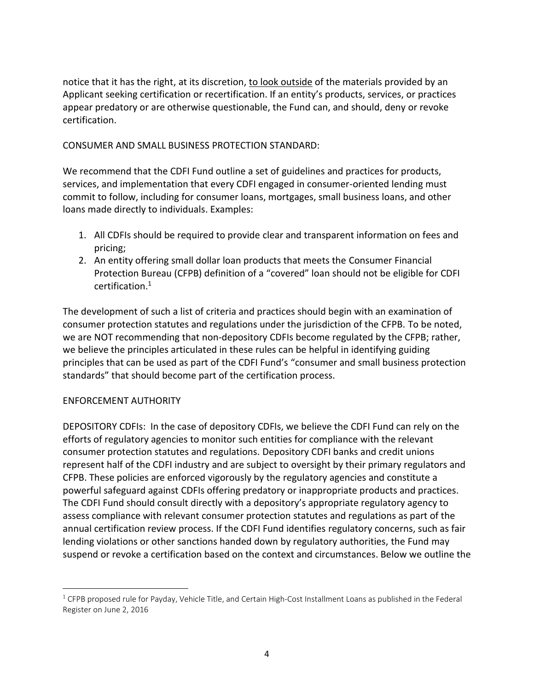notice that it has the right, at its discretion, to look outside of the materials provided by an Applicant seeking certification or recertification. If an entity's products, services, or practices appear predatory or are otherwise questionable, the Fund can, and should, deny or revoke certification.

CONSUMER AND SMALL BUSINESS PROTECTION STANDARD:

We recommend that the CDFI Fund outline a set of guidelines and practices for products, services, and implementation that every CDFI engaged in consumer-oriented lending must commit to follow, including for consumer loans, mortgages, small business loans, and other loans made directly to individuals. Examples:

- 1. All CDFIs should be required to provide clear and transparent information on fees and pricing;
- 2. An entity offering small dollar loan products that meets the Consumer Financial Protection Bureau (CFPB) definition of a "covered" loan should not be eligible for CDFI certification. 1

The development of such a list of criteria and practices should begin with an examination of consumer protection statutes and regulations under the jurisdiction of the CFPB. To be noted, we are NOT recommending that non-depository CDFIs become regulated by the CFPB; rather, we believe the principles articulated in these rules can be helpful in identifying guiding principles that can be used as part of the CDFI Fund's "consumer and small business protection standards" that should become part of the certification process.

### ENFORCEMENT AUTHORITY

 $\overline{a}$ 

DEPOSITORY CDFIs: In the case of depository CDFIs, we believe the CDFI Fund can rely on the efforts of regulatory agencies to monitor such entities for compliance with the relevant consumer protection statutes and regulations. Depository CDFI banks and credit unions represent half of the CDFI industry and are subject to oversight by their primary regulators and CFPB. These policies are enforced vigorously by the regulatory agencies and constitute a powerful safeguard against CDFIs offering predatory or inappropriate products and practices. The CDFI Fund should consult directly with a depository's appropriate regulatory agency to assess compliance with relevant consumer protection statutes and regulations as part of the annual certification review process. If the CDFI Fund identifies regulatory concerns, such as fair lending violations or other sanctions handed down by regulatory authorities, the Fund may suspend or revoke a certification based on the context and circumstances. Below we outline the

<sup>&</sup>lt;sup>1</sup> CFPB proposed rule for Payday, Vehicle Title, and Certain High-Cost Installment Loans as published in the Federal Register on June 2, 2016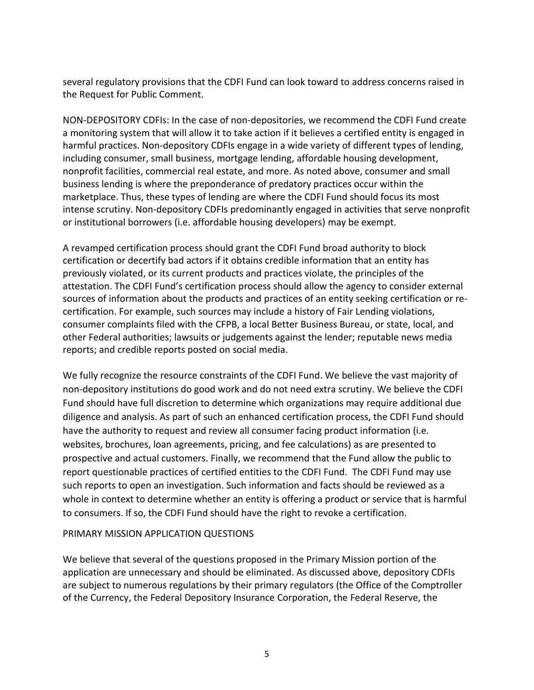several regulatory provisions that the CDFI Fund can look toward to address concerns raised in the Request for Public Comment.

NON-DEPOSITORY CDFIs: In the case of non-depositories, we recommend the CDFI Fund create a monitoring system that will allow it to take action if it believes a certified entity is engaged in harmful practices. Non-depository CDFIs engage in a wide variety of different types of lending, including consumer, small business, mortgage lending, affordable housing development, nonprofit facilities, commercial real estate, and more. As noted above, consumer and small business lending is where the preponderance of predatory practices occur within the marketplace. Thus, these types of lending are where the CDFI Fund should focus its most intense scrutiny. Non-depository CDFIs predominantly engaged in activities that serve nonprofit or institutional borrowers (i.e. affordable housing developers) may be exempt.

A revamped certification process should grant the CDFI Fund broad authority to block certification or decertify bad actors if it obtains credible information that an entity has previously violated, or its current products and practices violate, the principles of the attestation. The CDFI Fund's certification process should allow the agency to consider external sources of information about the products and practices of an entity seeking certification or recertification. For example, such sources may include a history of Fair Lending violations, consumer complaints filed with the CFPB, a local Better Business Bureau, or state, local, and other Federal authorities; lawsuits or judgements against the lender; reputable news media reports; and credible reports posted on social media.

We fully recognize the resource constraints of the CDFI Fund. We believe the vast majority of non-depository institutions do good work and do not need extra scrutiny. We believe the CDFI Fund should have full discretion to determine which organizations may require additional due diligence and analysis. As part of such an enhanced certification process, the CDFI Fund should have the authority to request and review all consumer facing product information (i.e. websites, brochures, loan agreements, pricing, and fee calculations) as are presented to prospective and actual customers. Finally, we recommend that the Fund allow the public to report questionable practices of certified entities to the CDFI Fund. The CDFI Fund may use such reports to open an investigation. Such information and facts should be reviewed as a whole in context to determine whether an entity is offering a product or service that is harmful to consumers. If so, the CDFI Fund should have the right to revoke a certification.

#### PRIMARY MISSION APPLICATION QUESTIONS

We believe that several of the questions proposed in the Primary Mission portion of the application are unnecessary and should be eliminated. As discussed above, depository CDFIs are subject to numerous regulations by their primary regulators (the Office of the Comptroller of the Currency, the Federal Depository Insurance Corporation, the Federal Reserve, the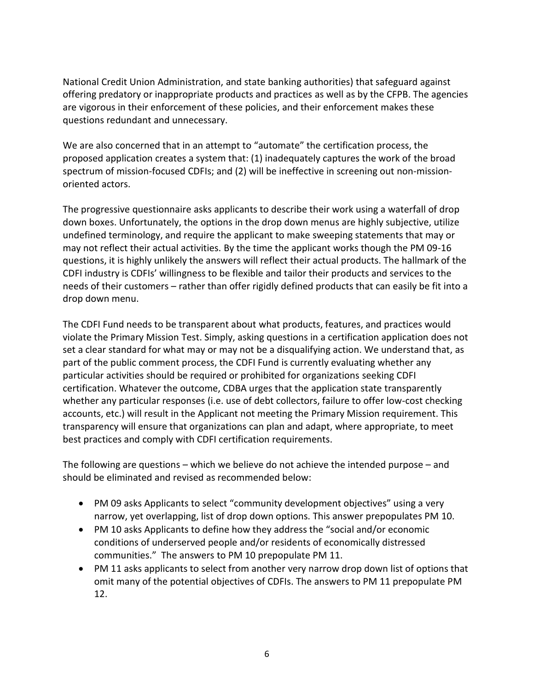National Credit Union Administration, and state banking authorities) that safeguard against offering predatory or inappropriate products and practices as well as by the CFPB. The agencies are vigorous in their enforcement of these policies, and their enforcement makes these questions redundant and unnecessary.

We are also concerned that in an attempt to "automate" the certification process, the proposed application creates a system that: (1) inadequately captures the work of the broad spectrum of mission-focused CDFIs; and (2) will be ineffective in screening out non-missionoriented actors.

The progressive questionnaire asks applicants to describe their work using a waterfall of drop down boxes. Unfortunately, the options in the drop down menus are highly subjective, utilize undefined terminology, and require the applicant to make sweeping statements that may or may not reflect their actual activities. By the time the applicant works though the PM 09-16 questions, it is highly unlikely the answers will reflect their actual products. The hallmark of the CDFI industry is CDFIs' willingness to be flexible and tailor their products and services to the needs of their customers – rather than offer rigidly defined products that can easily be fit into a drop down menu.

The CDFI Fund needs to be transparent about what products, features, and practices would violate the Primary Mission Test. Simply, asking questions in a certification application does not set a clear standard for what may or may not be a disqualifying action. We understand that, as part of the public comment process, the CDFI Fund is currently evaluating whether any particular activities should be required or prohibited for organizations seeking CDFI certification. Whatever the outcome, CDBA urges that the application state transparently whether any particular responses (i.e. use of debt collectors, failure to offer low-cost checking accounts, etc.) will result in the Applicant not meeting the Primary Mission requirement. This transparency will ensure that organizations can plan and adapt, where appropriate, to meet best practices and comply with CDFI certification requirements.

The following are questions – which we believe do not achieve the intended purpose – and should be eliminated and revised as recommended below:

- PM 09 asks Applicants to select "community development objectives" using a very narrow, yet overlapping, list of drop down options. This answer prepopulates PM 10.
- PM 10 asks Applicants to define how they address the "social and/or economic conditions of underserved people and/or residents of economically distressed communities." The answers to PM 10 prepopulate PM 11.
- PM 11 asks applicants to select from another very narrow drop down list of options that omit many of the potential objectives of CDFIs. The answers to PM 11 prepopulate PM 12.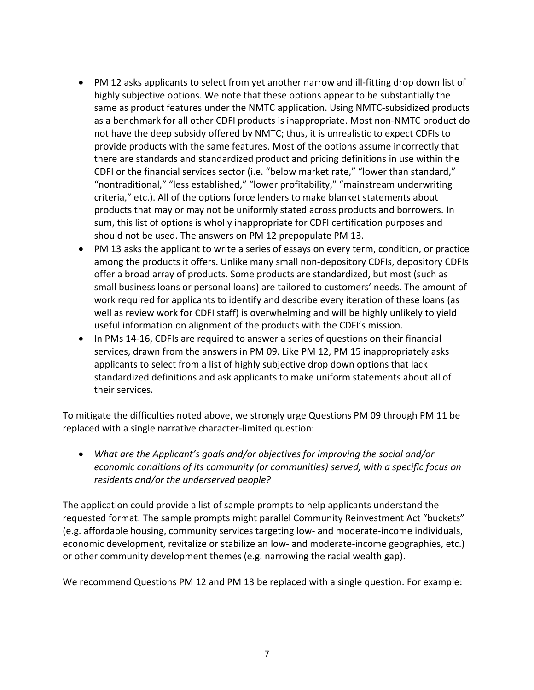- PM 12 asks applicants to select from yet another narrow and ill-fitting drop down list of highly subjective options. We note that these options appear to be substantially the same as product features under the NMTC application. Using NMTC-subsidized products as a benchmark for all other CDFI products is inappropriate. Most non-NMTC product do not have the deep subsidy offered by NMTC; thus, it is unrealistic to expect CDFIs to provide products with the same features. Most of the options assume incorrectly that there are standards and standardized product and pricing definitions in use within the CDFI or the financial services sector (i.e. "below market rate," "lower than standard," "nontraditional," "less established," "lower profitability," "mainstream underwriting criteria," etc.). All of the options force lenders to make blanket statements about products that may or may not be uniformly stated across products and borrowers. In sum, this list of options is wholly inappropriate for CDFI certification purposes and should not be used. The answers on PM 12 prepopulate PM 13.
- PM 13 asks the applicant to write a series of essays on every term, condition, or practice among the products it offers. Unlike many small non-depository CDFIs, depository CDFIs offer a broad array of products. Some products are standardized, but most (such as small business loans or personal loans) are tailored to customers' needs. The amount of work required for applicants to identify and describe every iteration of these loans (as well as review work for CDFI staff) is overwhelming and will be highly unlikely to yield useful information on alignment of the products with the CDFI's mission.
- In PMs 14-16, CDFIs are required to answer a series of questions on their financial services, drawn from the answers in PM 09. Like PM 12, PM 15 inappropriately asks applicants to select from a list of highly subjective drop down options that lack standardized definitions and ask applicants to make uniform statements about all of their services.

To mitigate the difficulties noted above, we strongly urge Questions PM 09 through PM 11 be replaced with a single narrative character-limited question:

 *What are the Applicant's goals and/or objectives for improving the social and/or economic conditions of its community (or communities) served, with a specific focus on residents and/or the underserved people?*

The application could provide a list of sample prompts to help applicants understand the requested format. The sample prompts might parallel Community Reinvestment Act "buckets" (e.g. affordable housing, community services targeting low- and moderate-income individuals, economic development, revitalize or stabilize an low- and moderate-income geographies, etc.) or other community development themes (e.g. narrowing the racial wealth gap).

We recommend Questions PM 12 and PM 13 be replaced with a single question. For example: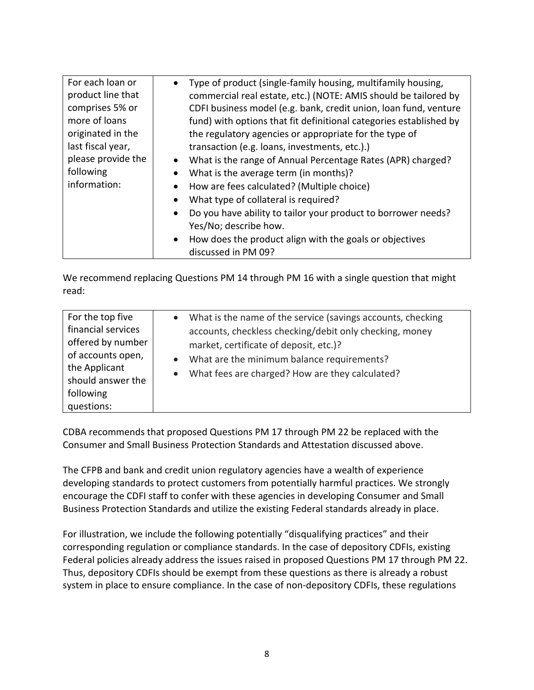| For each loan or   | Type of product (single-family housing, multifamily housing,         |
|--------------------|----------------------------------------------------------------------|
| product line that  | commercial real estate, etc.) (NOTE: AMIS should be tailored by      |
| comprises 5% or    | CDFI business model (e.g. bank, credit union, loan fund, venture     |
| more of loans      | fund) with options that fit definitional categories established by   |
| originated in the  | the regulatory agencies or appropriate for the type of               |
| last fiscal year,  | transaction (e.g. loans, investments, etc.).)                        |
| please provide the | • What is the range of Annual Percentage Rates (APR) charged?        |
| following          | What is the average term (in months)?                                |
| information:       | How are fees calculated? (Multiple choice)<br>$\bullet$              |
|                    | What type of collateral is required?                                 |
|                    | Do you have ability to tailor your product to borrower needs?        |
|                    | Yes/No; describe how.                                                |
|                    | How does the product align with the goals or objectives<br>$\bullet$ |
|                    | discussed in PM 09?                                                  |

We recommend replacing Questions PM 14 through PM 16 with a single question that might read:

| For the top five                                                                                                              | • What is the name of the service (savings accounts, checking                                                                                                                                                                |
|-------------------------------------------------------------------------------------------------------------------------------|------------------------------------------------------------------------------------------------------------------------------------------------------------------------------------------------------------------------------|
| financial services<br>offered by number<br>of accounts open,<br>the Applicant<br>should answer the<br>following<br>questions: | accounts, checkless checking/debit only checking, money<br>market, certificate of deposit, etc.)?<br>What are the minimum balance requirements?<br>$\bullet$<br>What fees are charged? How are they calculated?<br>$\bullet$ |

CDBA recommends that proposed Questions PM 17 through PM 22 be replaced with the Consumer and Small Business Protection Standards and Attestation discussed above.

The CFPB and bank and credit union regulatory agencies have a wealth of experience developing standards to protect customers from potentially harmful practices. We strongly encourage the CDFI staff to confer with these agencies in developing Consumer and Small Business Protection Standards and utilize the existing Federal standards already in place.

For illustration, we include the following potentially "disqualifying practices" and their corresponding regulation or compliance standards. In the case of depository CDFIs, existing Federal policies already address the issues raised in proposed Questions PM 17 through PM 22. Thus, depository CDFIs should be exempt from these questions as there is already a robust system in place to ensure compliance. In the case of non-depository CDFIs, these regulations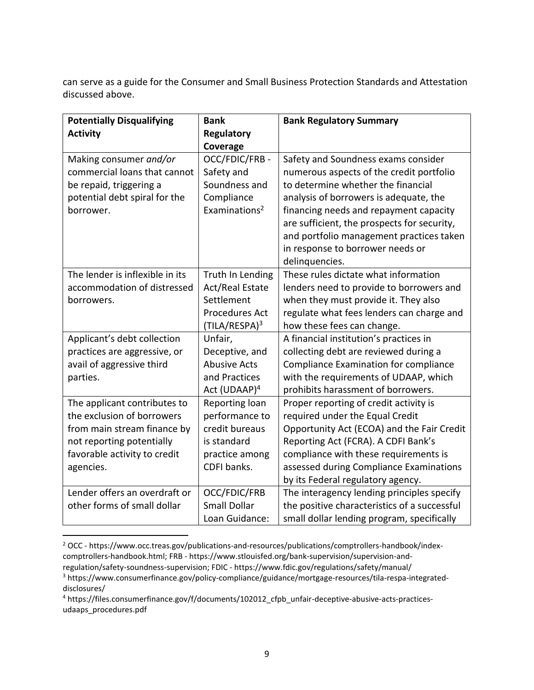can serve as a guide for the Consumer and Small Business Protection Standards and Attestation discussed above.

| <b>Potentially Disqualifying</b> | <b>Bank</b>               | <b>Bank Regulatory Summary</b>               |
|----------------------------------|---------------------------|----------------------------------------------|
| <b>Activity</b>                  | <b>Regulatory</b>         |                                              |
|                                  | Coverage                  |                                              |
| Making consumer and/or           | OCC/FDIC/FRB-             | Safety and Soundness exams consider          |
| commercial loans that cannot     | Safety and                | numerous aspects of the credit portfolio     |
| be repaid, triggering a          | Soundness and             | to determine whether the financial           |
| potential debt spiral for the    | Compliance                | analysis of borrowers is adequate, the       |
| borrower.                        | Examinations <sup>2</sup> | financing needs and repayment capacity       |
|                                  |                           | are sufficient, the prospects for security,  |
|                                  |                           | and portfolio management practices taken     |
|                                  |                           | in response to borrower needs or             |
|                                  |                           | delinquencies.                               |
| The lender is inflexible in its  | Truth In Lending          | These rules dictate what information         |
| accommodation of distressed      | <b>Act/Real Estate</b>    | lenders need to provide to borrowers and     |
| borrowers.                       | Settlement                | when they must provide it. They also         |
|                                  | <b>Procedures Act</b>     | regulate what fees lenders can charge and    |
|                                  | (TILA/RESPA) <sup>3</sup> | how these fees can change.                   |
| Applicant's debt collection      | Unfair,                   | A financial institution's practices in       |
| practices are aggressive, or     | Deceptive, and            | collecting debt are reviewed during a        |
| avail of aggressive third        | <b>Abusive Acts</b>       | Compliance Examination for compliance        |
| parties.                         | and Practices             | with the requirements of UDAAP, which        |
|                                  | Act $(UDAAP)^4$           | prohibits harassment of borrowers.           |
| The applicant contributes to     | Reporting loan            | Proper reporting of credit activity is       |
| the exclusion of borrowers       | performance to            | required under the Equal Credit              |
| from main stream finance by      | credit bureaus            | Opportunity Act (ECOA) and the Fair Credit   |
| not reporting potentially        | is standard               | Reporting Act (FCRA). A CDFI Bank's          |
| favorable activity to credit     | practice among            | compliance with these requirements is        |
| agencies.                        | CDFI banks.               | assessed during Compliance Examinations      |
|                                  |                           | by its Federal regulatory agency.            |
| Lender offers an overdraft or    | OCC/FDIC/FRB              | The interagency lending principles specify   |
| other forms of small dollar      | <b>Small Dollar</b>       | the positive characteristics of a successful |
|                                  | Loan Guidance:            | small dollar lending program, specifically   |

<sup>2</sup> OCC - https://www.occ.treas.gov/publications-and-resources/publications/comptrollers-handbook/indexcomptrollers-handbook.html; FRB - https://www.stlouisfed.org/bank-supervision/supervision-andregulation/safety-soundness-supervision; FDIC - https://www.fdic.gov/regulations/safety/manual/

 $\overline{a}$ 

<sup>3</sup> https://www.consumerfinance.gov/policy-compliance/guidance/mortgage-resources/tila-respa-integrateddisclosures/

<sup>4</sup> https://files.consumerfinance.gov/f/documents/102012\_cfpb\_unfair-deceptive-abusive-acts-practicesudaaps\_procedures.pdf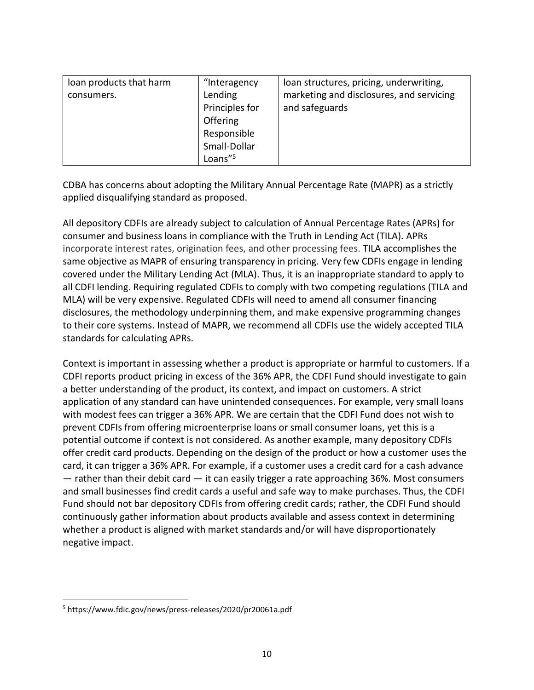| loan products that harm | "Interagency    | loan structures, pricing, underwriting,  |
|-------------------------|-----------------|------------------------------------------|
| consumers.              | Lending         | marketing and disclosures, and servicing |
|                         | Principles for  | and safeguards                           |
|                         | <b>Offering</b> |                                          |
|                         | Responsible     |                                          |
|                         | Small-Dollar    |                                          |
|                         | Loans"5         |                                          |

CDBA has concerns about adopting the Military Annual Percentage Rate (MAPR) as a strictly applied disqualifying standard as proposed.

All depository CDFIs are already subject to calculation of Annual Percentage Rates (APRs) for consumer and business loans in compliance with the Truth in Lending Act (TILA). APRs incorporate interest rates, origination fees, and other processing fees. TILA accomplishes the same objective as MAPR of ensuring transparency in pricing. Very few CDFIs engage in lending covered under the Military Lending Act (MLA). Thus, it is an inappropriate standard to apply to all CDFI lending. Requiring regulated CDFIs to comply with two competing regulations (TILA and MLA) will be very expensive. Regulated CDFIs will need to amend all consumer financing disclosures, the methodology underpinning them, and make expensive programming changes to their core systems. Instead of MAPR, we recommend all CDFIs use the widely accepted TILA standards for calculating APRs.

Context is important in assessing whether a product is appropriate or harmful to customers. If a CDFI reports product pricing in excess of the 36% APR, the CDFI Fund should investigate to gain a better understanding of the product, its context, and impact on customers. A strict application of any standard can have unintended consequences. For example, very small loans with modest fees can trigger a 36% APR. We are certain that the CDFI Fund does not wish to prevent CDFIs from offering microenterprise loans or small consumer loans, yet this is a potential outcome if context is not considered. As another example, many depository CDFIs offer credit card products. Depending on the design of the product or how a customer uses the card, it can trigger a 36% APR. For example, if a customer uses a credit card for a cash advance  $-$  rather than their debit card  $-$  it can easily trigger a rate approaching 36%. Most consumers and small businesses find credit cards a useful and safe way to make purchases. Thus, the CDFI Fund should not bar depository CDFIs from offering credit cards; rather, the CDFI Fund should continuously gather information about products available and assess context in determining whether a product is aligned with market standards and/or will have disproportionately negative impact.

 $\overline{a}$ 

<sup>5</sup> https://www.fdic.gov/news/press-releases/2020/pr20061a.pdf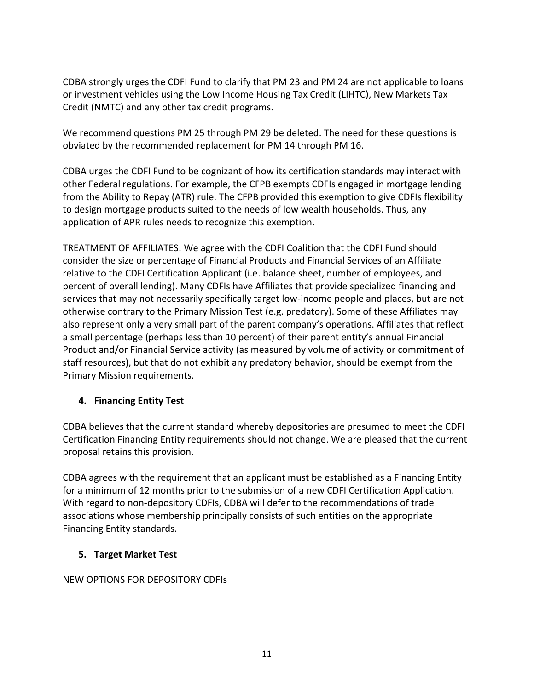CDBA strongly urges the CDFI Fund to clarify that PM 23 and PM 24 are not applicable to loans or investment vehicles using the Low Income Housing Tax Credit (LIHTC), New Markets Tax Credit (NMTC) and any other tax credit programs.

We recommend questions PM 25 through PM 29 be deleted. The need for these questions is obviated by the recommended replacement for PM 14 through PM 16.

CDBA urges the CDFI Fund to be cognizant of how its certification standards may interact with other Federal regulations. For example, the CFPB exempts CDFIs engaged in mortgage lending from the Ability to Repay (ATR) rule. The CFPB provided this exemption to give CDFIs flexibility to design mortgage products suited to the needs of low wealth households. Thus, any application of APR rules needs to recognize this exemption.

TREATMENT OF AFFILIATES: We agree with the CDFI Coalition that the CDFI Fund should consider the size or percentage of Financial Products and Financial Services of an Affiliate relative to the CDFI Certification Applicant (i.e. balance sheet, number of employees, and percent of overall lending). Many CDFIs have Affiliates that provide specialized financing and services that may not necessarily specifically target low-income people and places, but are not otherwise contrary to the Primary Mission Test (e.g. predatory). Some of these Affiliates may also represent only a very small part of the parent company's operations. Affiliates that reflect a small percentage (perhaps less than 10 percent) of their parent entity's annual Financial Product and/or Financial Service activity (as measured by volume of activity or commitment of staff resources), but that do not exhibit any predatory behavior, should be exempt from the Primary Mission requirements.

### **4. Financing Entity Test**

CDBA believes that the current standard whereby depositories are presumed to meet the CDFI Certification Financing Entity requirements should not change. We are pleased that the current proposal retains this provision.

CDBA agrees with the requirement that an applicant must be established as a Financing Entity for a minimum of 12 months prior to the submission of a new CDFI Certification Application. With regard to non-depository CDFIs, CDBA will defer to the recommendations of trade associations whose membership principally consists of such entities on the appropriate Financing Entity standards.

### **5. Target Market Test**

### NEW OPTIONS FOR DEPOSITORY CDFIs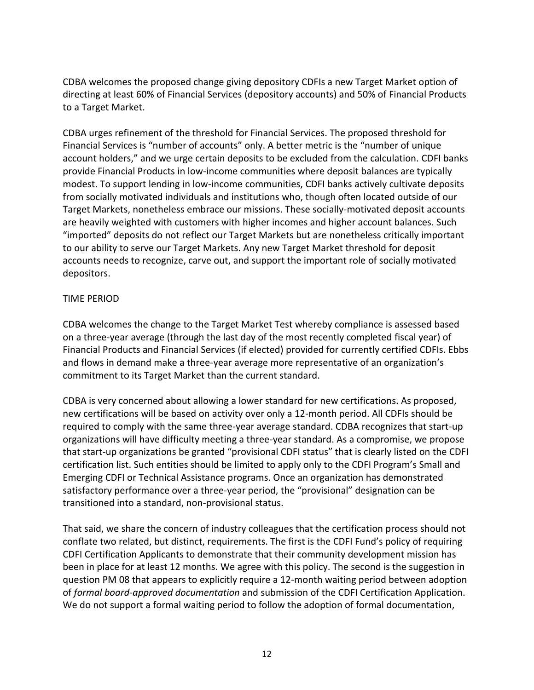CDBA welcomes the proposed change giving depository CDFIs a new Target Market option of directing at least 60% of Financial Services (depository accounts) and 50% of Financial Products to a Target Market.

CDBA urges refinement of the threshold for Financial Services. The proposed threshold for Financial Services is "number of accounts" only. A better metric is the "number of unique account holders," and we urge certain deposits to be excluded from the calculation. CDFI banks provide Financial Products in low-income communities where deposit balances are typically modest. To support lending in low-income communities, CDFI banks actively cultivate deposits from socially motivated individuals and institutions who, though often located outside of our Target Markets, nonetheless embrace our missions. These socially-motivated deposit accounts are heavily weighted with customers with higher incomes and higher account balances. Such "imported" deposits do not reflect our Target Markets but are nonetheless critically important to our ability to serve our Target Markets. Any new Target Market threshold for deposit accounts needs to recognize, carve out, and support the important role of socially motivated depositors.

#### TIME PERIOD

CDBA welcomes the change to the Target Market Test whereby compliance is assessed based on a three-year average (through the last day of the most recently completed fiscal year) of Financial Products and Financial Services (if elected) provided for currently certified CDFIs. Ebbs and flows in demand make a three-year average more representative of an organization's commitment to its Target Market than the current standard.

CDBA is very concerned about allowing a lower standard for new certifications. As proposed, new certifications will be based on activity over only a 12-month period. All CDFIs should be required to comply with the same three-year average standard. CDBA recognizes that start-up organizations will have difficulty meeting a three-year standard. As a compromise, we propose that start-up organizations be granted "provisional CDFI status" that is clearly listed on the CDFI certification list. Such entities should be limited to apply only to the CDFI Program's Small and Emerging CDFI or Technical Assistance programs. Once an organization has demonstrated satisfactory performance over a three-year period, the "provisional" designation can be transitioned into a standard, non-provisional status.

That said, we share the concern of industry colleagues that the certification process should not conflate two related, but distinct, requirements. The first is the CDFI Fund's policy of requiring CDFI Certification Applicants to demonstrate that their community development mission has been in place for at least 12 months. We agree with this policy. The second is the suggestion in question PM 08 that appears to explicitly require a 12-month waiting period between adoption of *formal board-approved documentation* and submission of the CDFI Certification Application. We do not support a formal waiting period to follow the adoption of formal documentation,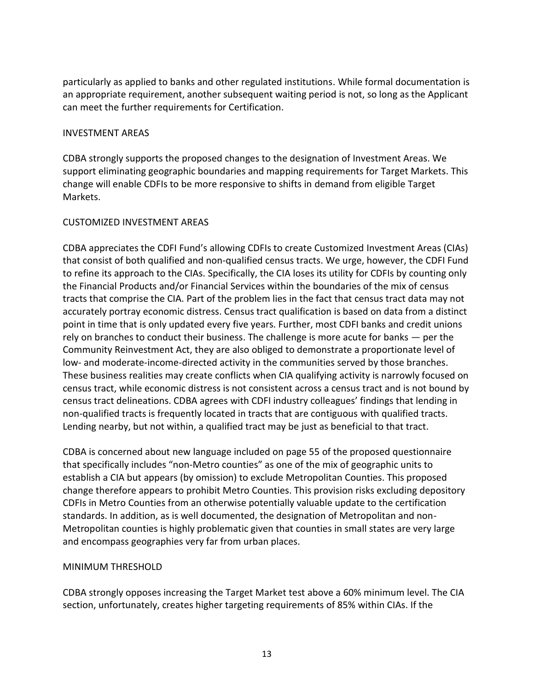particularly as applied to banks and other regulated institutions. While formal documentation is an appropriate requirement, another subsequent waiting period is not, so long as the Applicant can meet the further requirements for Certification.

#### INVESTMENT AREAS

CDBA strongly supports the proposed changes to the designation of Investment Areas. We support eliminating geographic boundaries and mapping requirements for Target Markets. This change will enable CDFIs to be more responsive to shifts in demand from eligible Target Markets.

### CUSTOMIZED INVESTMENT AREAS

CDBA appreciates the CDFI Fund's allowing CDFIs to create Customized Investment Areas (CIAs) that consist of both qualified and non-qualified census tracts. We urge, however, the CDFI Fund to refine its approach to the CIAs. Specifically, the CIA loses its utility for CDFIs by counting only the Financial Products and/or Financial Services within the boundaries of the mix of census tracts that comprise the CIA. Part of the problem lies in the fact that census tract data may not accurately portray economic distress. Census tract qualification is based on data from a distinct point in time that is only updated every five years. Further, most CDFI banks and credit unions rely on branches to conduct their business. The challenge is more acute for banks — per the Community Reinvestment Act, they are also obliged to demonstrate a proportionate level of low- and moderate-income-directed activity in the communities served by those branches. These business realities may create conflicts when CIA qualifying activity is narrowly focused on census tract, while economic distress is not consistent across a census tract and is not bound by census tract delineations. CDBA agrees with CDFI industry colleagues' findings that lending in non-qualified tracts is frequently located in tracts that are contiguous with qualified tracts. Lending nearby, but not within, a qualified tract may be just as beneficial to that tract.

CDBA is concerned about new language included on page 55 of the proposed questionnaire that specifically includes "non-Metro counties" as one of the mix of geographic units to establish a CIA but appears (by omission) to exclude Metropolitan Counties. This proposed change therefore appears to prohibit Metro Counties. This provision risks excluding depository CDFIs in Metro Counties from an otherwise potentially valuable update to the certification standards. In addition, as is well documented, the designation of Metropolitan and non-Metropolitan counties is highly problematic given that counties in small states are very large and encompass geographies very far from urban places.

#### MINIMUM THRESHOLD

CDBA strongly opposes increasing the Target Market test above a 60% minimum level. The CIA section, unfortunately, creates higher targeting requirements of 85% within CIAs. If the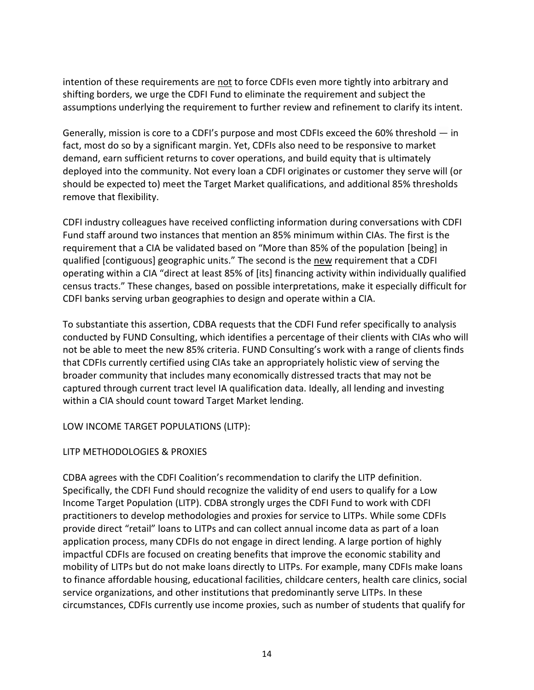intention of these requirements are not to force CDFIs even more tightly into arbitrary and shifting borders, we urge the CDFI Fund to eliminate the requirement and subject the assumptions underlying the requirement to further review and refinement to clarify its intent.

Generally, mission is core to a CDFI's purpose and most CDFIs exceed the 60% threshold — in fact, most do so by a significant margin. Yet, CDFIs also need to be responsive to market demand, earn sufficient returns to cover operations, and build equity that is ultimately deployed into the community. Not every loan a CDFI originates or customer they serve will (or should be expected to) meet the Target Market qualifications, and additional 85% thresholds remove that flexibility.

CDFI industry colleagues have received conflicting information during conversations with CDFI Fund staff around two instances that mention an 85% minimum within CIAs. The first is the requirement that a CIA be validated based on "More than 85% of the population [being] in qualified [contiguous] geographic units." The second is the new requirement that a CDFI operating within a CIA "direct at least 85% of [its] financing activity within individually qualified census tracts." These changes, based on possible interpretations, make it especially difficult for CDFI banks serving urban geographies to design and operate within a CIA.

To substantiate this assertion, CDBA requests that the CDFI Fund refer specifically to analysis conducted by FUND Consulting, which identifies a percentage of their clients with CIAs who will not be able to meet the new 85% criteria. FUND Consulting's work with a range of clients finds that CDFIs currently certified using CIAs take an appropriately holistic view of serving the broader community that includes many economically distressed tracts that may not be captured through current tract level IA qualification data. Ideally, all lending and investing within a CIA should count toward Target Market lending.

#### LOW INCOME TARGET POPULATIONS (LITP):

### LITP METHODOLOGIES & PROXIES

CDBA agrees with the CDFI Coalition's recommendation to clarify the LITP definition. Specifically, the CDFI Fund should recognize the validity of end users to qualify for a Low Income Target Population (LITP). CDBA strongly urges the CDFI Fund to work with CDFI practitioners to develop methodologies and proxies for service to LITPs. While some CDFIs provide direct "retail" loans to LITPs and can collect annual income data as part of a loan application process, many CDFIs do not engage in direct lending. A large portion of highly impactful CDFIs are focused on creating benefits that improve the economic stability and mobility of LITPs but do not make loans directly to LITPs. For example, many CDFIs make loans to finance affordable housing, educational facilities, childcare centers, health care clinics, social service organizations, and other institutions that predominantly serve LITPs. In these circumstances, CDFIs currently use income proxies, such as number of students that qualify for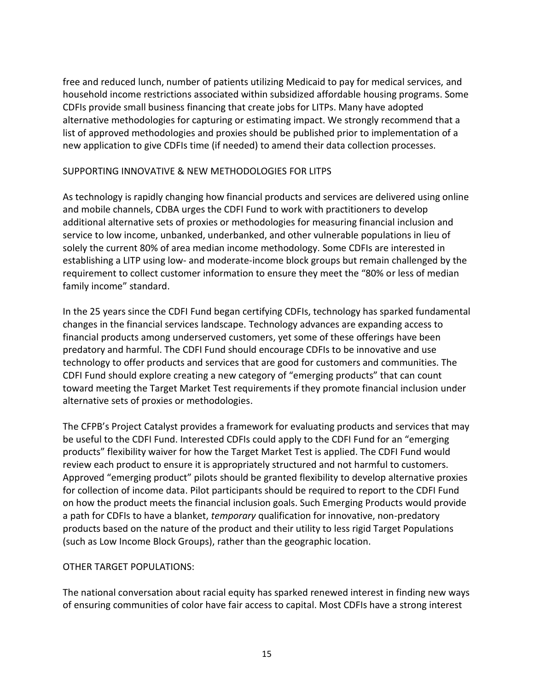free and reduced lunch, number of patients utilizing Medicaid to pay for medical services, and household income restrictions associated within subsidized affordable housing programs. Some CDFIs provide small business financing that create jobs for LITPs. Many have adopted alternative methodologies for capturing or estimating impact. We strongly recommend that a list of approved methodologies and proxies should be published prior to implementation of a new application to give CDFIs time (if needed) to amend their data collection processes.

#### SUPPORTING INNOVATIVE & NEW METHODOLOGIES FOR LITPS

As technology is rapidly changing how financial products and services are delivered using online and mobile channels, CDBA urges the CDFI Fund to work with practitioners to develop additional alternative sets of proxies or methodologies for measuring financial inclusion and service to low income, unbanked, underbanked, and other vulnerable populations in lieu of solely the current 80% of area median income methodology. Some CDFIs are interested in establishing a LITP using low- and moderate-income block groups but remain challenged by the requirement to collect customer information to ensure they meet the "80% or less of median family income" standard.

In the 25 years since the CDFI Fund began certifying CDFIs, technology has sparked fundamental changes in the financial services landscape. Technology advances are expanding access to financial products among underserved customers, yet some of these offerings have been predatory and harmful. The CDFI Fund should encourage CDFIs to be innovative and use technology to offer products and services that are good for customers and communities. The CDFI Fund should explore creating a new category of "emerging products" that can count toward meeting the Target Market Test requirements if they promote financial inclusion under alternative sets of proxies or methodologies.

The CFPB's Project Catalyst provides a framework for evaluating products and services that may be useful to the CDFI Fund. Interested CDFIs could apply to the CDFI Fund for an "emerging products" flexibility waiver for how the Target Market Test is applied. The CDFI Fund would review each product to ensure it is appropriately structured and not harmful to customers. Approved "emerging product" pilots should be granted flexibility to develop alternative proxies for collection of income data. Pilot participants should be required to report to the CDFI Fund on how the product meets the financial inclusion goals. Such Emerging Products would provide a path for CDFIs to have a blanket, *temporary* qualification for innovative, non-predatory products based on the nature of the product and their utility to less rigid Target Populations (such as Low Income Block Groups), rather than the geographic location.

### OTHER TARGET POPULATIONS:

The national conversation about racial equity has sparked renewed interest in finding new ways of ensuring communities of color have fair access to capital. Most CDFIs have a strong interest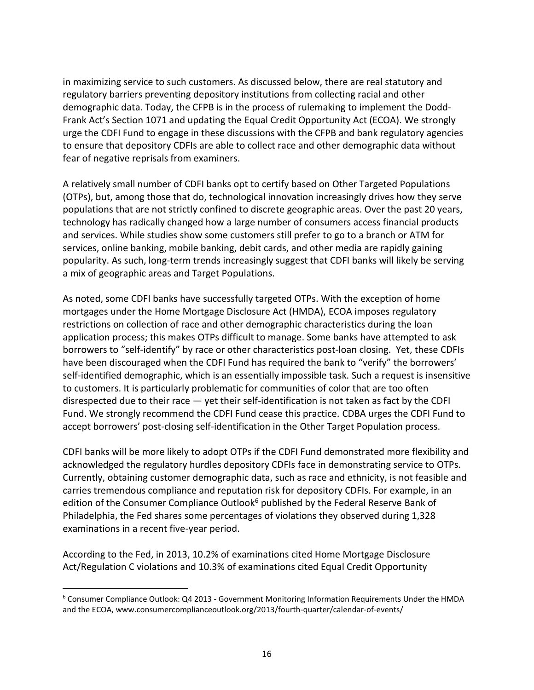in maximizing service to such customers. As discussed below, there are real statutory and regulatory barriers preventing depository institutions from collecting racial and other demographic data. Today, the CFPB is in the process of rulemaking to implement the Dodd-Frank Act's Section 1071 and updating the Equal Credit Opportunity Act (ECOA). We strongly urge the CDFI Fund to engage in these discussions with the CFPB and bank regulatory agencies to ensure that depository CDFIs are able to collect race and other demographic data without fear of negative reprisals from examiners.

A relatively small number of CDFI banks opt to certify based on Other Targeted Populations (OTPs), but, among those that do, technological innovation increasingly drives how they serve populations that are not strictly confined to discrete geographic areas. Over the past 20 years, technology has radically changed how a large number of consumers access financial products and services. While studies show some customers still prefer to go to a branch or ATM for services, online banking, mobile banking, debit cards, and other media are rapidly gaining popularity. As such, long-term trends increasingly suggest that CDFI banks will likely be serving a mix of geographic areas and Target Populations.

As noted, some CDFI banks have successfully targeted OTPs. With the exception of home mortgages under the Home Mortgage Disclosure Act (HMDA), ECOA imposes regulatory restrictions on collection of race and other demographic characteristics during the loan application process; this makes OTPs difficult to manage. Some banks have attempted to ask borrowers to "self-identify" by race or other characteristics post-loan closing. Yet, these CDFIs have been discouraged when the CDFI Fund has required the bank to "verify" the borrowers' self-identified demographic, which is an essentially impossible task. Such a request is insensitive to customers. It is particularly problematic for communities of color that are too often disrespected due to their race  $-$  yet their self-identification is not taken as fact by the CDFI Fund. We strongly recommend the CDFI Fund cease this practice. CDBA urges the CDFI Fund to accept borrowers' post-closing self-identification in the Other Target Population process.

CDFI banks will be more likely to adopt OTPs if the CDFI Fund demonstrated more flexibility and acknowledged the regulatory hurdles depository CDFIs face in demonstrating service to OTPs. Currently, obtaining customer demographic data, such as race and ethnicity, is not feasible and carries tremendous compliance and reputation risk for depository CDFIs. For example, in an edition of the Consumer Compliance Outlook<sup>6</sup> published by the Federal Reserve Bank of Philadelphia, the Fed shares some percentages of violations they observed during 1,328 examinations in a recent five-year period.

According to the Fed, in 2013, 10.2% of examinations cited Home Mortgage Disclosure Act/Regulation C violations and 10.3% of examinations cited Equal Credit Opportunity

 $\overline{a}$ 

<sup>6</sup> Consumer Compliance Outlook: Q4 2013 - Government Monitoring Information Requirements Under the HMDA and the ECOA, www.consumercomplianceoutlook.org/2013/fourth-quarter/calendar-of-events/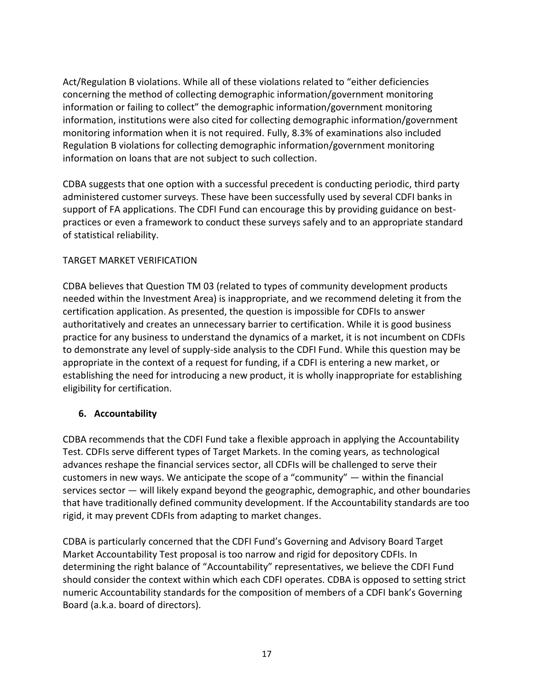Act/Regulation B violations. While all of these violations related to "either deficiencies concerning the method of collecting demographic information/government monitoring information or failing to collect" the demographic information/government monitoring information, institutions were also cited for collecting demographic information/government monitoring information when it is not required. Fully, 8.3% of examinations also included Regulation B violations for collecting demographic information/government monitoring information on loans that are not subject to such collection.

CDBA suggests that one option with a successful precedent is conducting periodic, third party administered customer surveys. These have been successfully used by several CDFI banks in support of FA applications. The CDFI Fund can encourage this by providing guidance on bestpractices or even a framework to conduct these surveys safely and to an appropriate standard of statistical reliability.

### TARGET MARKET VERIFICATION

CDBA believes that Question TM 03 (related to types of community development products needed within the Investment Area) is inappropriate, and we recommend deleting it from the certification application. As presented, the question is impossible for CDFIs to answer authoritatively and creates an unnecessary barrier to certification. While it is good business practice for any business to understand the dynamics of a market, it is not incumbent on CDFIs to demonstrate any level of supply-side analysis to the CDFI Fund. While this question may be appropriate in the context of a request for funding, if a CDFI is entering a new market, or establishing the need for introducing a new product, it is wholly inappropriate for establishing eligibility for certification.

### **6. Accountability**

CDBA recommends that the CDFI Fund take a flexible approach in applying the Accountability Test. CDFIs serve different types of Target Markets. In the coming years, as technological advances reshape the financial services sector, all CDFIs will be challenged to serve their customers in new ways. We anticipate the scope of a "community"  $-$  within the financial services sector — will likely expand beyond the geographic, demographic, and other boundaries that have traditionally defined community development. If the Accountability standards are too rigid, it may prevent CDFIs from adapting to market changes.

CDBA is particularly concerned that the CDFI Fund's Governing and Advisory Board Target Market Accountability Test proposal is too narrow and rigid for depository CDFIs. In determining the right balance of "Accountability" representatives, we believe the CDFI Fund should consider the context within which each CDFI operates. CDBA is opposed to setting strict numeric Accountability standards for the composition of members of a CDFI bank's Governing Board (a.k.a. board of directors).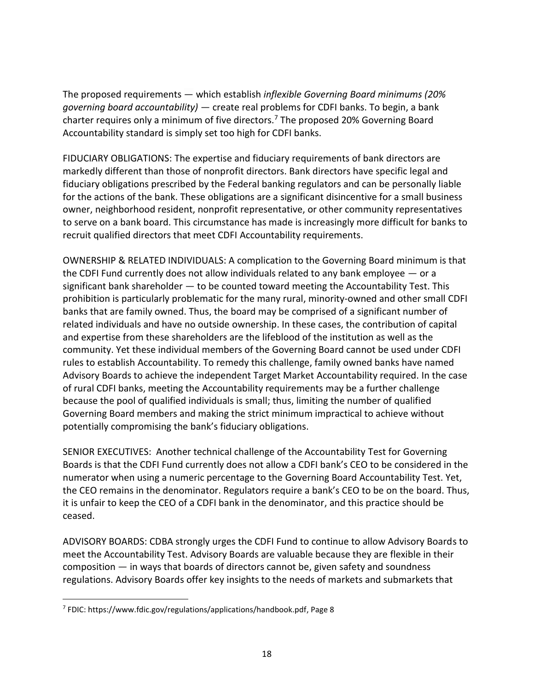The proposed requirements — which establish *inflexible Governing Board minimums (20% governing board accountability)* — create real problems for CDFI banks. To begin, a bank charter requires only a minimum of five directors.<sup>7</sup> The proposed 20% Governing Board Accountability standard is simply set too high for CDFI banks.

FIDUCIARY OBLIGATIONS: The expertise and fiduciary requirements of bank directors are markedly different than those of nonprofit directors. Bank directors have specific legal and fiduciary obligations prescribed by the Federal banking regulators and can be personally liable for the actions of the bank. These obligations are a significant disincentive for a small business owner, neighborhood resident, nonprofit representative, or other community representatives to serve on a bank board. This circumstance has made is increasingly more difficult for banks to recruit qualified directors that meet CDFI Accountability requirements.

OWNERSHIP & RELATED INDIVIDUALS: A complication to the Governing Board minimum is that the CDFI Fund currently does not allow individuals related to any bank employee  $-$  or a significant bank shareholder — to be counted toward meeting the Accountability Test. This prohibition is particularly problematic for the many rural, minority-owned and other small CDFI banks that are family owned. Thus, the board may be comprised of a significant number of related individuals and have no outside ownership. In these cases, the contribution of capital and expertise from these shareholders are the lifeblood of the institution as well as the community. Yet these individual members of the Governing Board cannot be used under CDFI rules to establish Accountability. To remedy this challenge, family owned banks have named Advisory Boards to achieve the independent Target Market Accountability required. In the case of rural CDFI banks, meeting the Accountability requirements may be a further challenge because the pool of qualified individuals is small; thus, limiting the number of qualified Governing Board members and making the strict minimum impractical to achieve without potentially compromising the bank's fiduciary obligations.

SENIOR EXECUTIVES: Another technical challenge of the Accountability Test for Governing Boards is that the CDFI Fund currently does not allow a CDFI bank's CEO to be considered in the numerator when using a numeric percentage to the Governing Board Accountability Test. Yet, the CEO remains in the denominator. Regulators require a bank's CEO to be on the board. Thus, it is unfair to keep the CEO of a CDFI bank in the denominator, and this practice should be ceased.

ADVISORY BOARDS: CDBA strongly urges the CDFI Fund to continue to allow Advisory Boards to meet the Accountability Test. Advisory Boards are valuable because they are flexible in their  $composition - in ways$  that boards of directors cannot be, given safety and soundness regulations. Advisory Boards offer key insights to the needs of markets and submarkets that

 $\overline{a}$ 

<sup>7</sup> FDIC: https://www.fdic.gov/regulations/applications/handbook.pdf, Page 8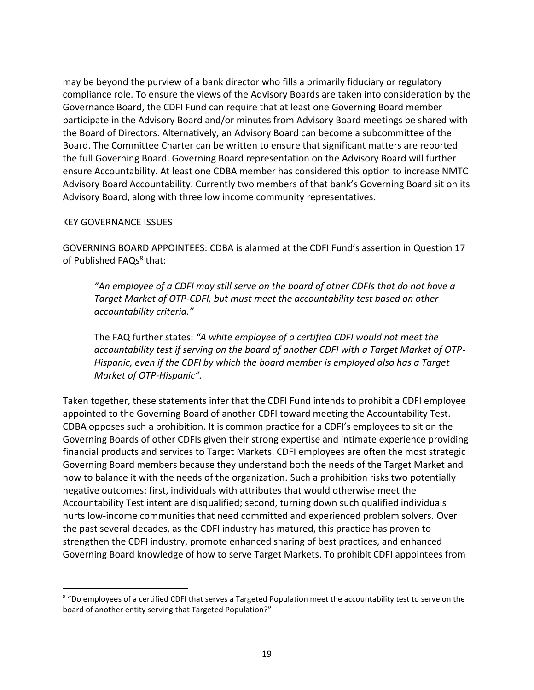may be beyond the purview of a bank director who fills a primarily fiduciary or regulatory compliance role. To ensure the views of the Advisory Boards are taken into consideration by the Governance Board, the CDFI Fund can require that at least one Governing Board member participate in the Advisory Board and/or minutes from Advisory Board meetings be shared with the Board of Directors. Alternatively, an Advisory Board can become a subcommittee of the Board. The Committee Charter can be written to ensure that significant matters are reported the full Governing Board. Governing Board representation on the Advisory Board will further ensure Accountability. At least one CDBA member has considered this option to increase NMTC Advisory Board Accountability. Currently two members of that bank's Governing Board sit on its Advisory Board, along with three low income community representatives.

#### KEY GOVERNANCE ISSUES

 $\overline{a}$ 

GOVERNING BOARD APPOINTEES: CDBA is alarmed at the CDFI Fund's assertion in Question 17 of Published FAQs<sup>8</sup> that:

*"An employee of a CDFI may still serve on the board of other CDFIs that do not have a Target Market of OTP-CDFI, but must meet the accountability test based on other accountability criteria."* 

The FAQ further states: *"A white employee of a certified CDFI would not meet the accountability test if serving on the board of another CDFI with a Target Market of OTP-Hispanic, even if the CDFI by which the board member is employed also has a Target Market of OTP-Hispanic".*

Taken together, these statements infer that the CDFI Fund intends to prohibit a CDFI employee appointed to the Governing Board of another CDFI toward meeting the Accountability Test. CDBA opposes such a prohibition. It is common practice for a CDFI's employees to sit on the Governing Boards of other CDFIs given their strong expertise and intimate experience providing financial products and services to Target Markets. CDFI employees are often the most strategic Governing Board members because they understand both the needs of the Target Market and how to balance it with the needs of the organization. Such a prohibition risks two potentially negative outcomes: first, individuals with attributes that would otherwise meet the Accountability Test intent are disqualified; second, turning down such qualified individuals hurts low-income communities that need committed and experienced problem solvers. Over the past several decades, as the CDFI industry has matured, this practice has proven to strengthen the CDFI industry, promote enhanced sharing of best practices, and enhanced Governing Board knowledge of how to serve Target Markets. To prohibit CDFI appointees from

<sup>&</sup>lt;sup>8</sup> "Do employees of a certified CDFI that serves a Targeted Population meet the accountability test to serve on the board of another entity serving that Targeted Population?"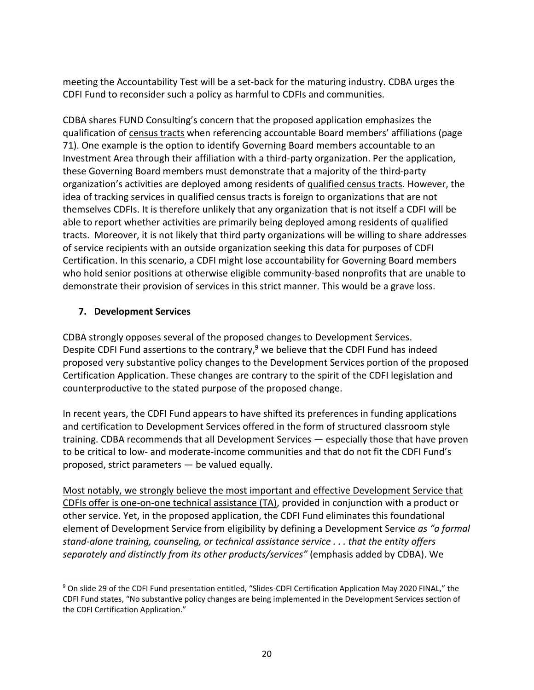meeting the Accountability Test will be a set-back for the maturing industry. CDBA urges the CDFI Fund to reconsider such a policy as harmful to CDFIs and communities.

CDBA shares FUND Consulting's concern that the proposed application emphasizes the qualification of census tracts when referencing accountable Board members' affiliations (page 71). One example is the option to identify Governing Board members accountable to an Investment Area through their affiliation with a third-party organization. Per the application, these Governing Board members must demonstrate that a majority of the third-party organization's activities are deployed among residents of qualified census tracts. However, the idea of tracking services in qualified census tracts is foreign to organizations that are not themselves CDFIs. It is therefore unlikely that any organization that is not itself a CDFI will be able to report whether activities are primarily being deployed among residents of qualified tracts. Moreover, it is not likely that third party organizations will be willing to share addresses of service recipients with an outside organization seeking this data for purposes of CDFI Certification. In this scenario, a CDFI might lose accountability for Governing Board members who hold senior positions at otherwise eligible community-based nonprofits that are unable to demonstrate their provision of services in this strict manner. This would be a grave loss.

# **7. Development Services**

 $\overline{a}$ 

CDBA strongly opposes several of the proposed changes to Development Services. Despite CDFI Fund assertions to the contrary,<sup>9</sup> we believe that the CDFI Fund has indeed proposed very substantive policy changes to the Development Services portion of the proposed Certification Application. These changes are contrary to the spirit of the CDFI legislation and counterproductive to the stated purpose of the proposed change.

In recent years, the CDFI Fund appears to have shifted its preferences in funding applications and certification to Development Services offered in the form of structured classroom style training. CDBA recommends that all Development Services — especially those that have proven to be critical to low- and moderate-income communities and that do not fit the CDFI Fund's proposed, strict parameters — be valued equally.

Most notably, we strongly believe the most important and effective Development Service that CDFIs offer is one-on-one technical assistance (TA), provided in conjunction with a product or other service. Yet, in the proposed application, the CDFI Fund eliminates this foundational element of Development Service from eligibility by defining a Development Service *as "a formal stand-alone training, counseling, or technical assistance service . . . that the entity offers separately and distinctly from its other products/services"* (emphasis added by CDBA). We

<sup>9</sup> On slide 29 of the CDFI Fund presentation entitled, "Slides-CDFI Certification Application May 2020 FINAL," the CDFI Fund states, "No substantive policy changes are being implemented in the Development Services section of the CDFI Certification Application."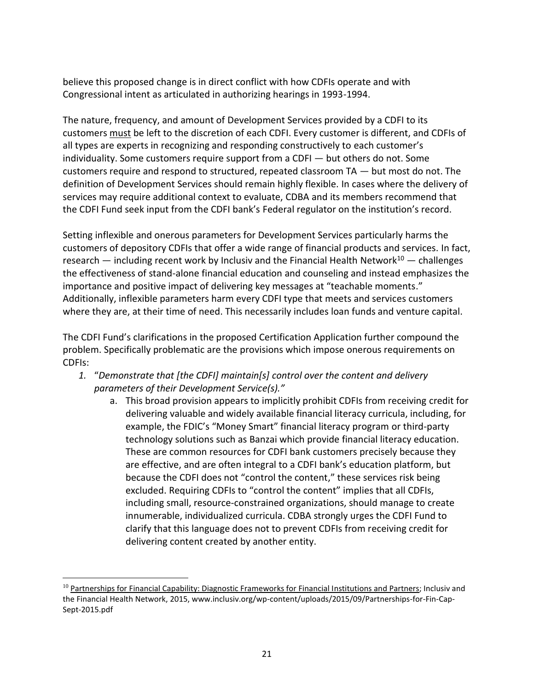believe this proposed change is in direct conflict with how CDFIs operate and with Congressional intent as articulated in authorizing hearings in 1993-1994.

The nature, frequency, and amount of Development Services provided by a CDFI to its customers must be left to the discretion of each CDFI. Every customer is different, and CDFIs of all types are experts in recognizing and responding constructively to each customer's individuality. Some customers require support from a CDFI — but others do not. Some customers require and respond to structured, repeated classroom TA — but most do not. The definition of Development Services should remain highly flexible. In cases where the delivery of services may require additional context to evaluate, CDBA and its members recommend that the CDFI Fund seek input from the CDFI bank's Federal regulator on the institution's record.

Setting inflexible and onerous parameters for Development Services particularly harms the customers of depository CDFIs that offer a wide range of financial products and services. In fact, research — including recent work by Inclusiv and the Financial Health Network<sup>10</sup> — challenges the effectiveness of stand-alone financial education and counseling and instead emphasizes the importance and positive impact of delivering key messages at "teachable moments." Additionally, inflexible parameters harm every CDFI type that meets and services customers where they are, at their time of need. This necessarily includes loan funds and venture capital.

The CDFI Fund's clarifications in the proposed Certification Application further compound the problem. Specifically problematic are the provisions which impose onerous requirements on CDFIs:

- *1.* "*Demonstrate that [the CDFI] maintain[s] control over the content and delivery parameters of their Development Service(s)."*
	- a. This broad provision appears to implicitly prohibit CDFIs from receiving credit for delivering valuable and widely available financial literacy curricula, including, for example, the FDIC's "Money Smart" financial literacy program or third-party technology solutions such as Banzai which provide financial literacy education. These are common resources for CDFI bank customers precisely because they are effective, and are often integral to a CDFI bank's education platform, but because the CDFI does not "control the content," these services risk being excluded. Requiring CDFIs to "control the content" implies that all CDFIs, including small, resource-constrained organizations, should manage to create innumerable, individualized curricula. CDBA strongly urges the CDFI Fund to clarify that this language does not to prevent CDFIs from receiving credit for delivering content created by another entity.

 $\overline{a}$ 

 $10$  Partnerships for Financial Capability: Diagnostic Frameworks for Financial Institutions and Partners; Inclusiv and the Financial Health Network, 2015, www.inclusiv.org/wp-content/uploads/2015/09/Partnerships-for-Fin-Cap-Sept-2015.pdf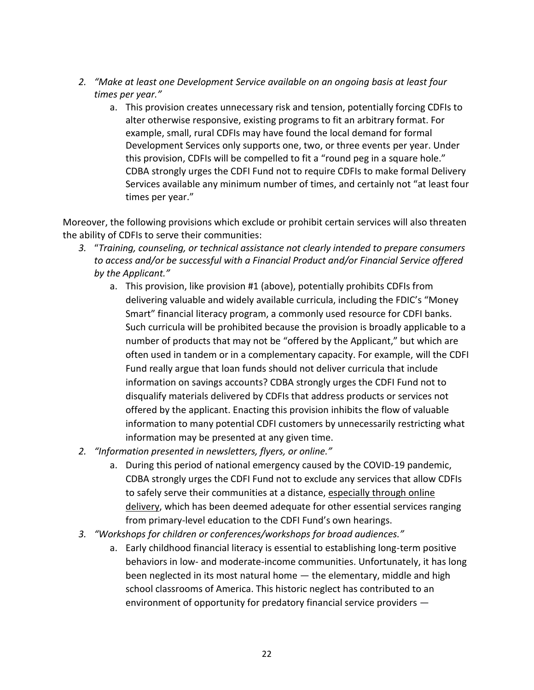- *2. "Make at least one Development Service available on an ongoing basis at least four times per year."*
	- a. This provision creates unnecessary risk and tension, potentially forcing CDFIs to alter otherwise responsive, existing programs to fit an arbitrary format. For example, small, rural CDFIs may have found the local demand for formal Development Services only supports one, two, or three events per year. Under this provision, CDFIs will be compelled to fit a "round peg in a square hole." CDBA strongly urges the CDFI Fund not to require CDFIs to make formal Delivery Services available any minimum number of times, and certainly not "at least four times per year."

Moreover, the following provisions which exclude or prohibit certain services will also threaten the ability of CDFIs to serve their communities:

- *3.* "*Training, counseling, or technical assistance not clearly intended to prepare consumers to access and/or be successful with a Financial Product and/or Financial Service offered by the Applicant."*
	- a. This provision, like provision #1 (above), potentially prohibits CDFIs from delivering valuable and widely available curricula, including the FDIC's "Money Smart" financial literacy program, a commonly used resource for CDFI banks. Such curricula will be prohibited because the provision is broadly applicable to a number of products that may not be "offered by the Applicant," but which are often used in tandem or in a complementary capacity. For example, will the CDFI Fund really argue that loan funds should not deliver curricula that include information on savings accounts? CDBA strongly urges the CDFI Fund not to disqualify materials delivered by CDFIs that address products or services not offered by the applicant. Enacting this provision inhibits the flow of valuable information to many potential CDFI customers by unnecessarily restricting what information may be presented at any given time.
- *2. "Information presented in newsletters, flyers, or online."*
	- a. During this period of national emergency caused by the COVID-19 pandemic, CDBA strongly urges the CDFI Fund not to exclude any services that allow CDFIs to safely serve their communities at a distance, especially through online delivery, which has been deemed adequate for other essential services ranging from primary-level education to the CDFI Fund's own hearings.
- *3. "Workshops for children or conferences/workshops for broad audiences."*
	- a. Early childhood financial literacy is essential to establishing long-term positive behaviors in low- and moderate-income communities. Unfortunately, it has long been neglected in its most natural home — the elementary, middle and high school classrooms of America. This historic neglect has contributed to an environment of opportunity for predatory financial service providers —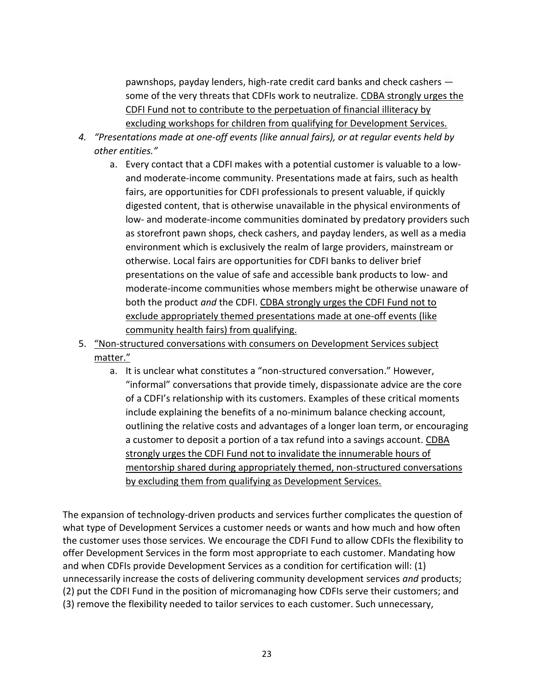pawnshops, payday lenders, high-rate credit card banks and check cashers some of the very threats that CDFIs work to neutralize. CDBA strongly urges the CDFI Fund not to contribute to the perpetuation of financial illiteracy by excluding workshops for children from qualifying for Development Services.

- *4. "Presentations made at one-off events (like annual fairs), or at regular events held by other entities."*
	- a. Every contact that a CDFI makes with a potential customer is valuable to a lowand moderate-income community. Presentations made at fairs, such as health fairs, are opportunities for CDFI professionals to present valuable, if quickly digested content, that is otherwise unavailable in the physical environments of low- and moderate-income communities dominated by predatory providers such as storefront pawn shops, check cashers, and payday lenders, as well as a media environment which is exclusively the realm of large providers, mainstream or otherwise. Local fairs are opportunities for CDFI banks to deliver brief presentations on the value of safe and accessible bank products to low- and moderate-income communities whose members might be otherwise unaware of both the product *and* the CDFI. CDBA strongly urges the CDFI Fund not to exclude appropriately themed presentations made at one-off events (like community health fairs) from qualifying.
- 5. "Non-structured conversations with consumers on Development Services subject matter."
	- a. It is unclear what constitutes a "non-structured conversation." However, "informal" conversations that provide timely, dispassionate advice are the core of a CDFI's relationship with its customers. Examples of these critical moments include explaining the benefits of a no-minimum balance checking account, outlining the relative costs and advantages of a longer loan term, or encouraging a customer to deposit a portion of a tax refund into a savings account. CDBA strongly urges the CDFI Fund not to invalidate the innumerable hours of mentorship shared during appropriately themed, non-structured conversations by excluding them from qualifying as Development Services.

The expansion of technology-driven products and services further complicates the question of what type of Development Services a customer needs or wants and how much and how often the customer uses those services. We encourage the CDFI Fund to allow CDFIs the flexibility to offer Development Services in the form most appropriate to each customer. Mandating how and when CDFIs provide Development Services as a condition for certification will: (1) unnecessarily increase the costs of delivering community development services *and* products; (2) put the CDFI Fund in the position of micromanaging how CDFIs serve their customers; and (3) remove the flexibility needed to tailor services to each customer. Such unnecessary,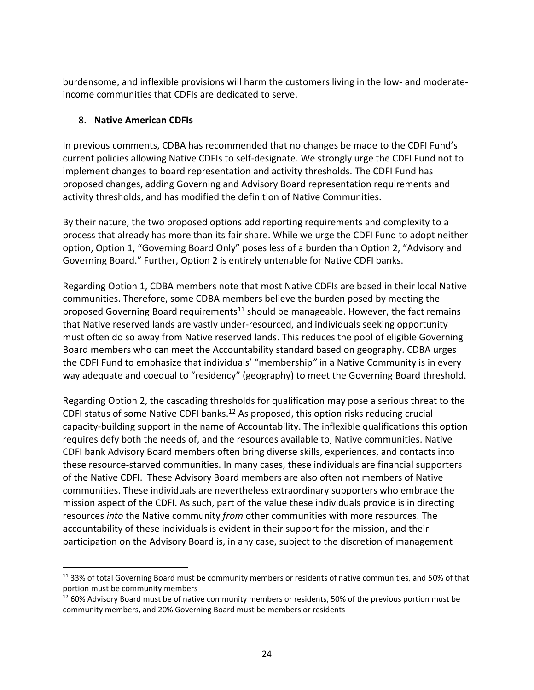burdensome, and inflexible provisions will harm the customers living in the low- and moderateincome communities that CDFIs are dedicated to serve.

### 8. **Native American CDFIs**

 $\overline{a}$ 

In previous comments, CDBA has recommended that no changes be made to the CDFI Fund's current policies allowing Native CDFIs to self-designate. We strongly urge the CDFI Fund not to implement changes to board representation and activity thresholds. The CDFI Fund has proposed changes, adding Governing and Advisory Board representation requirements and activity thresholds, and has modified the definition of Native Communities.

By their nature, the two proposed options add reporting requirements and complexity to a process that already has more than its fair share. While we urge the CDFI Fund to adopt neither option, Option 1, "Governing Board Only" poses less of a burden than Option 2, "Advisory and Governing Board." Further, Option 2 is entirely untenable for Native CDFI banks.

Regarding Option 1, CDBA members note that most Native CDFIs are based in their local Native communities. Therefore, some CDBA members believe the burden posed by meeting the proposed Governing Board requirements<sup>11</sup> should be manageable. However, the fact remains that Native reserved lands are vastly under-resourced, and individuals seeking opportunity must often do so away from Native reserved lands. This reduces the pool of eligible Governing Board members who can meet the Accountability standard based on geography. CDBA urges the CDFI Fund to emphasize that individuals' "membership*"* in a Native Community is in every way adequate and coequal to "residency" (geography) to meet the Governing Board threshold.

Regarding Option 2, the cascading thresholds for qualification may pose a serious threat to the CDFI status of some Native CDFI banks.<sup>12</sup> As proposed, this option risks reducing crucial capacity-building support in the name of Accountability. The inflexible qualifications this option requires defy both the needs of, and the resources available to, Native communities. Native CDFI bank Advisory Board members often bring diverse skills, experiences, and contacts into these resource-starved communities. In many cases, these individuals are financial supporters of the Native CDFI. These Advisory Board members are also often not members of Native communities. These individuals are nevertheless extraordinary supporters who embrace the mission aspect of the CDFI. As such, part of the value these individuals provide is in directing resources *into* the Native community *from* other communities with more resources. The accountability of these individuals is evident in their support for the mission, and their participation on the Advisory Board is, in any case, subject to the discretion of management

<sup>&</sup>lt;sup>11</sup> 33% of total Governing Board must be community members or residents of native communities, and 50% of that portion must be community members

<sup>&</sup>lt;sup>12</sup> 60% Advisory Board must be of native community members or residents, 50% of the previous portion must be community members, and 20% Governing Board must be members or residents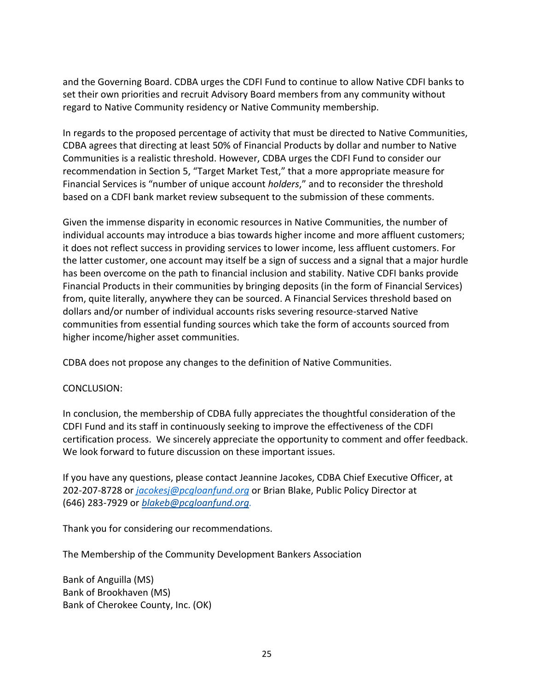and the Governing Board. CDBA urges the CDFI Fund to continue to allow Native CDFI banks to set their own priorities and recruit Advisory Board members from any community without regard to Native Community residency or Native Community membership.

In regards to the proposed percentage of activity that must be directed to Native Communities, CDBA agrees that directing at least 50% of Financial Products by dollar and number to Native Communities is a realistic threshold. However, CDBA urges the CDFI Fund to consider our recommendation in Section 5, "Target Market Test," that a more appropriate measure for Financial Services is "number of unique account *holders*," and to reconsider the threshold based on a CDFI bank market review subsequent to the submission of these comments.

Given the immense disparity in economic resources in Native Communities, the number of individual accounts may introduce a bias towards higher income and more affluent customers; it does not reflect success in providing services to lower income, less affluent customers. For the latter customer, one account may itself be a sign of success and a signal that a major hurdle has been overcome on the path to financial inclusion and stability. Native CDFI banks provide Financial Products in their communities by bringing deposits (in the form of Financial Services) from, quite literally, anywhere they can be sourced. A Financial Services threshold based on dollars and/or number of individual accounts risks severing resource-starved Native communities from essential funding sources which take the form of accounts sourced from higher income/higher asset communities.

CDBA does not propose any changes to the definition of Native Communities.

#### CONCLUSION:

In conclusion, the membership of CDBA fully appreciates the thoughtful consideration of the CDFI Fund and its staff in continuously seeking to improve the effectiveness of the CDFI certification process. We sincerely appreciate the opportunity to comment and offer feedback. We look forward to future discussion on these important issues.

If you have any questions, please contact Jeannine Jacokes, CDBA Chief Executive Officer, at 202-207-8728 or *[jacokesj@pcgloanfund.org](mailto:jacokesj@pcgloanfund.org)* or Brian Blake, Public Policy Director at (646) 283-7929 or *[blakeb@pcgloanfund.org.](mailto:blakeb@pcgloanfund.org)*

Thank you for considering our recommendations.

The Membership of the Community Development Bankers Association

Bank of Anguilla (MS) Bank of Brookhaven (MS) Bank of Cherokee County, Inc. (OK)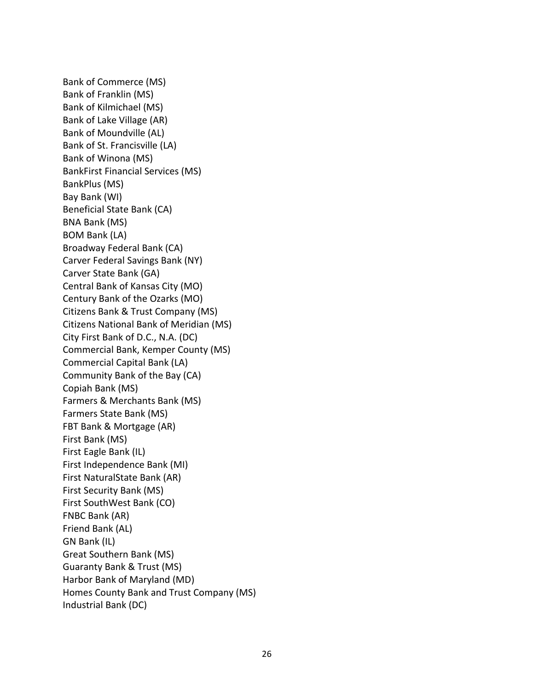Bank of Commerce (MS) Bank of Franklin (MS) Bank of Kilmichael (MS) Bank of Lake Village (AR) Bank of Moundville (AL) Bank of St. Francisville (LA) Bank of Winona (MS) BankFirst Financial Services (MS) BankPlus (MS) Bay Bank (WI) Beneficial State Bank (CA) BNA Bank (MS) BOM Bank (LA) Broadway Federal Bank (CA) Carver Federal Savings Bank (NY) Carver State Bank (GA) Central Bank of Kansas City (MO) Century Bank of the Ozarks (MO) Citizens Bank & Trust Company (MS) Citizens National Bank of Meridian (MS) City First Bank of D.C., N.A. (DC) Commercial Bank, Kemper County (MS) Commercial Capital Bank (LA) Community Bank of the Bay (CA) Copiah Bank (MS) Farmers & Merchants Bank (MS) Farmers State Bank (MS) FBT Bank & Mortgage (AR) First Bank (MS) First Eagle Bank (IL) First Independence Bank (MI) First NaturalState Bank (AR) First Security Bank (MS) First SouthWest Bank (CO) FNBC Bank (AR) Friend Bank (AL) GN Bank (IL) Great Southern Bank (MS) Guaranty Bank & Trust (MS) Harbor Bank of Maryland (MD) Homes County Bank and Trust Company (MS) Industrial Bank (DC)